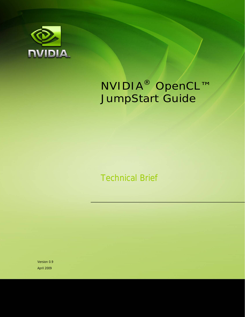

# NVIDIA® OpenCL™ JumpStart Guide

Technical Brief

Version 0.9 April 2009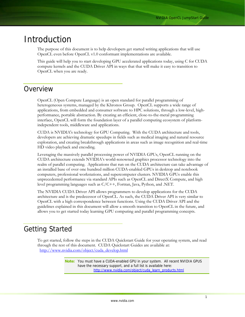## Introduction

The purpose of this document is to help developers get started writing applications that will use OpenCL even before OpenCL v1.0 conformant implementations are available.

This guide will help you to start developing GPU accelerated applications today, using C for CUDA compute kernels and the CUDA Driver API in ways that that will make it easy to transition to OpenCL when you are ready.

## Overview

OpenCL (Open Compute Language) is an open standard for parallel programming of heterogeneous systems, managed by the Khronos Group. OpenCL supports a wide range of applications, from embedded and consumer software to HPC solutions, through a low-level, highperformance, portable abstraction. By creating an efficient, close-to-the-metal programming interface, OpenCL will form the foundation layer of a parallel computing ecosystem of platformindependent tools, middleware and applications.

CUDA is NVIDIA's technology for GPU Computing. With the CUDA architecture and tools, developers are achieving dramatic speedups in fields such as medical imaging and natural resource exploration, and creating breakthrough applications in areas such as image recognition and real-time HD video playback and encoding.

Leveraging the massively parallel processing power of NVIDIA GPUs, OpenCL running on the CUDA architecture extends NVIDIA's world-renowned graphics processor technology into the realm of parallel computing. Applications that run on the CUDA architecture can take advantage of an installed base of over one hundred million CUDA-enabled GPUs in desktop and notebook computers, professional workstations, and supercomputer clusters. NVIDIA GPUs enable this unprecedented performance via standard APIs such as OpenCL and DirectX Compute, and high level programming languages such as C/C++, Fortran, Java, Python, and .NET.

The NVIDIA CUDA Driver API allows programmers to develop applications for the CUDA architecture and is the predecessor of OpenCL. As such, the CUDA Driver API is very similar to OpenCL with a high correspondence between functions. Using the CUDA Driver API and the guidelines explained in this document will allow a smooth transition to OpenCL in the future, and allows you to get started today learning GPU computing and parallel programming concepts.

## Getting Started

To get started, follow the steps in the CUDA Quickstart Guide for your operating system, and read through the rest of this document. CUDA Quickstart Guides are available at: [http://www.nvidia.com/object/cuda\\_develop.html](http://www.nvidia.com/object/cuda_develop.html)

> **Note:** You must have a CUDA-enabled GPU in your system. All recent NVIDIA GPUS have the necessary support, and a full list is available here: [http://www.nvidia.com/object/cuda\\_learn\\_products.html](http://www.nvidia.com/object/cuda_learn_products.html)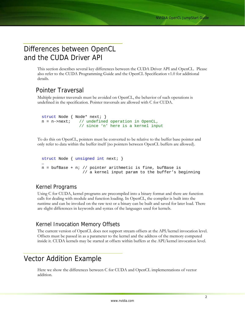## Differences between OpenCL and the CUDA Driver API

This section describes several key differences between the CUDA Driver API and OpenCL. Please also refer to the CUDA Programming Guide and the OpenCL Specification v1.0 for additional details.

## Pointer Traversal

Multiple pointer traversals must be avoided on OpenCL, the behavior of such operations is undefined in the specification. Pointer traversals are allowed with C for CUDA.

```
struct Node { Node* next; } 
n = n->next; // undefined operation in OpenCL,
                 // since 'n' here is a kernel input
```
To do this on OpenCL, pointers must be converted to be relative to the buffer base pointer and only refer to data within the buffer itself (no pointers between OpenCL buffers are allowed).

```
struct Node { unsigned int next; } 
… 
n = bufBase + n; // pointer arithmetic is fine, bufBase is 
                   // a kernel input param to the buffer's beginning
```
## Kernel Programs

Using C for CUDA, kernel programs are precompiled into a binary format and there are function calls for dealing with module and function loading. In OpenCL, the compiler is built into the runtime and can be invoked on the raw text or a binary can be built and saved for later load. There are slight differences in keywords and syntax of the languages used for kernels.

## Kernel Invocation Memory Offsets

The current version of OpenCL does not support stream offsets at the API/kernel invocation level. Offsets must be passed in as a parameter to the kernel and the address of the memory computed inside it. CUDA kernels may be started at offsets within buffers at the API/kernel invocation level.

## Vector Addition Example

Here we show the differences between C for CUDA and OpenCL implementations of vector addition.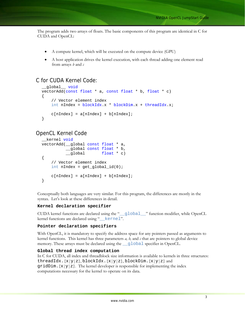The program adds two arrays of floats. The basic components of this program are identical in C for CUDA and OpenCL:

- A compute kernel, which will be executed on the compute device (GPU)
- A host application drives the kernel execution, with each thread adding one element read from arrays *b* and *c*

## C for CUDA Kernel Code:

```
__global__ void
vectorAdd(const float * a, const float * b, float * c) 
{ 
     // Vector element index 
     int nIndex = blockIdx.x * blockDim.x + threadIdx.x; 
   c[nIndex] = a[nIndex] + b[nIndex];}
```
### OpenCL Kernel Code

```
kernel void
vectorAdd(__global const float * a, 
          __global const float * b, 
          qlobal float * c)
{ 
     // Vector element index 
    int nIndex = get_global_id(0);c[nIndex] = a[nIndex] + b[nIndex];}
```
Conceptually both languages are very similar. For this program, the differences are mostly in the syntax. Let's look at these differences in detail.

#### **Kernel declaration specifier**

CUDA kernel functions are declared using the "\_\_global\_\_" function modifier, while OpenCL kernel functions are declared using "\_\_kernel".

#### **Pointer declaration specifiers**

With OpenCL, it is mandatory to specify the address space for any pointers passed as arguments to kernel functions. This kernel has three parameters *a, b,* and *c* that are pointers to global device memory. These arrays must be declared using the \_global specifier in OpenCL.

#### **Global thread index computation**

In C for CUDA, all index and threadblock size information is available to kernels in three structures: threadIdx.  $\{x|y|z\}$ , blockIdx.  $\{x|y|z\}$ , blockDim.  $\{x|y|z\}$  and  $gridDim.$   $\{x|y|z\}$ . The kernel developer is responsible for implementing the index computations necessary for the kernel to operate on its data.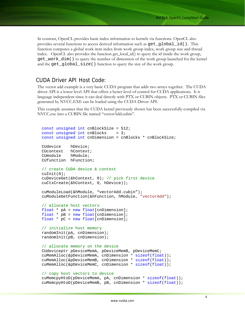In contrast, OpenCL provides basic index information to kernels via functions. OpenCL also provides several functions to access derived information such as get\_global\_id(). This function computes a global work item index from work group index, work group size and thread index. OpenCL also provides the function get\_local\_id() to query the id inside the work group, get\_work\_dim() to query the number of dimension of the work group launched for the kernel and the get\_global\_size() function to query the size of the work group.

### CUDA Driver API Host Code:

The vector add example is a very basic CUDA program that adds two arrays together. The CUDA driver API is a lower level API that offers a better level of control for CUDA applications. It is language independent since it can deal directly with PTX or CUBIN objects. PTX or CUBIN files generated by NVCC.EXE can be loaded using the CUDA Driver API.

This example assumes that the CUDA kernel previously shown has been successfully compiled via NVCC.exe into a CUBIN file named "vectorAdd.cubin".

```
const unsigned int cnBlockSize = 512; 
const unsigned int cnBlocks = 3;
const unsigned int cnDimension = cnBlocks * cnBlockSize; 
CUdevice hDevice; 
CUcontext hContext; 
CUmodule hModule; 
CUfunction hFunction; 
// create CUDA device & context 
cuInit(0); 
cuDeviceGet(&hContext, 0); // pick first device 
cuCtxCreate(&hContext, 0, hDevice)); 
cuModuleLoad(&hModule, "vectorAdd.cubin"); 
cuModuleGetFunction(&hFunction, hModule, "vectorAdd"); 
// allocate host vectors 
float * pA = new float[cnDimension];
float * pB = new float[cnDimension];
float * pC = new float[cnDimension]; 
// initialize host memory 
randomInit(pA, cnDimension); 
randomInit(pB, cnDimension); 
// allocate memory on the device 
CUdeviceptr pDeviceMemA, pDeviceMemB, pDeviceMemC; 
cuMemAlloc(&pDeviceMemA, cnDimension * sizeof(float)); 
cuMemAlloc(&pDeviceMemB, cnDimension * sizeof(float)); 
cuMemAlloc(&pDeviceMemC, cnDimension * sizeof(float)); 
// copy host vectors to device 
cuMemcpyHtoD(pDeviceMemA, pA, cnDimension * sizeof(float));
```

```
cuMemcpyHtoD(pDeviceMemB, pB, cnDimension * sizeof(float));
```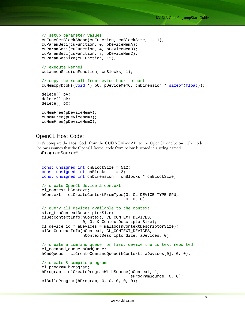```
// setup parameter values 
cuFuncSetBlockShape(cuFunction, cnBlockSize, 1, 1); 
cuParamSeti(cuFunction, 0, pDeviceMemA); 
cuParamSeti(cuFunction, 4, pDeviceMemB); 
cuParamSeti(cuFunction, 8, pDeviceMemC); 
cuParamSetSize(cuFunction, 12); 
// execute kernel 
cuLaunchGrid(cuFunction, cnBlocks, 1); 
// copy the result from device back to host 
cuMemcpyDtoH((void *) pC, pDeviceMemC, cnDimension * sizeof(float)); 
delete[] pA; 
delete[] pB; 
delete[] pC; 
cuMemFree(pDeviceMemA); 
cuMemFree(pDeviceMemB); 
cuMemFree(pDeviceMemC);
```
### OpenCL Host Code:

Let's compare the Host Code from the CUDA Driver API to the OpenCL one below. The code below assumes that the OpenCL kernel code from below is stored in a string named "sProgramSource".

```
const unsigned int cnBlockSize = 512; 
const unsigned int cnBlocks = 3;const unsigned int cnDimension = cnBlocks * cnBlockSize; 
// create OpenCL device & context 
cl_context hContext; 
hContext = clCreateContextFromType(0, CL_DEVICE_TYPE_GPU, 
                                    0, 0, 0);// query all devices available to the context 
size_t nContextDescriptorSize; 
clGetContextInfo(hContext, CL_CONTEXT_DEVICES, 
                 0, 0, &nContextDescriptorSize);
cl_device_id * aDevices = malloc(nContextDescriptorSize); 
clGetContextInfo(hContext, CL_CONTEXT_DEVICES, 
                  nContextDescriptorSize, aDevices, 0); 
// create a command queue for first device the context reported 
cl_command_queue hCmdQueue; 
hCmdQueue = clCreateCommandQueue(hContext, aDevices[0], 0, 0); 
// create & compile program 
cl program hProgram;
hProgram = clCreateProgramWithSource(hContext, 1, 
                                       sProgramSource, 0, 0); 
clBuildProgram(hProgram, 0, 0, 0, 0, 0);
```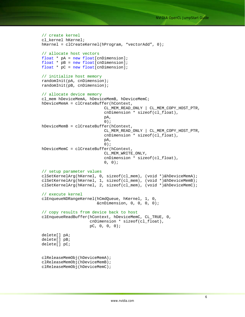```
// create kernel 
cl_kernel hKernel; 
hKernel = clCreateKernel(hProgram, "vectorAdd", 0); 
// allocate host vectors 
float * pA = new float[cnDimension];
float * pB = new float[cnDimension]; 
float * pC = new float[cnDimension]; 
// initialize host memory 
randomInit(pA, cnDimension); 
randomInit(pB, cnDimension); 
// allocate device memory 
cl_mem hDeviceMemA, hDeviceMemB, hDeviceMemC; 
hDeviceMemA = clCreateBuffer(hContext, 
                           CL_MEM_READ_ONLY | CL_MEM_COPY_HOST_PTR, 
                           cnDimension * sizeof(cl_float), 
 pA, 
\begin{pmatrix} 0 \\ 0 \end{pmatrix};
hDeviceMemB = clCreateBuffer(hContext, 
                           CL_MEM_READ_ONLY | CL_MEM_COPY_HOST_PTR, 
                           cnDimension * sizeof(cl_float), 
 pA, 
\begin{pmatrix} 0 \\ 0 \end{pmatrix};
hDeviceMemC = clCreateBuffer(hContext, 
                           CL_MEM_WRITE_ONLY, 
                           cnDimension * sizeof(cl_float), 
                          0, 0);// setup parameter values 
clSetKernelArg(hKernel, 0, sizeof(cl_mem), (void *)&hDeviceMemA); 
clSetKernelArg(hKernel, 1, sizeof(cl_mem), (void *)&hDeviceMemB); 
clSetKernelArg(hKernel, 2, sizeof(cl_mem), (void *)&hDeviceMemC); 
// execute kernel 
clEnqueueNDRangeKernel(hCmdQueue, hKernel, 1, 0, 
                        &cnDimension, 0, 0, 0, 0); 
// copy results from device back to host 
clEnqueueReadBuffer(hContext, hDeviceMemC, CL_TRUE, 0, 
                     cnDimension * sizeof(cl_float), 
                     pC, 0, 0, 0); 
delete[] pA; 
delete[] pB; 
delete[] pC; 
clReleaseMemObj(hDeviceMemA); 
clReleaseMemObj(hDeviceMemB); 
clReleaseMemObj(hDeviceMemC);
```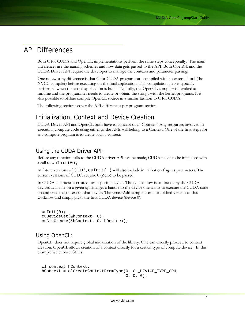## API Differences

Both C for CUDA and OpenCL implementations perform the same steps conceptually. The main differences are the naming schemes and how data gets passed to the API. Both OpenCL and the CUDA Driver API require the developer to manage the contexts and parameter passing.

One noteworthy difference is that C for CUDA programs are compiled with an external tool (the NVCC compiler) before executing on the final application. This compilation step is typically performed when the actual application is built. Typically, the OpenCL compiler is invoked at runtime and the programmer needs to create or obtain the strings with the kernel programs. It is also possible to offline compile OpenCL source in a similar fashion to C for CUDA.

The following sections cover the API differences per program section.

## Initialization, Context and Device Creation

CUDA Driver API and OpenCL both have to concept of a "Context". Any resources involved in executing compute code using either of the APIs will belong to a Context. One of the first steps for any compute program is to create such a context.

## Using the CUDA Driver API:

Before any function calls to the CUDA driver API can be made, CUDA needs to be initialized with a call to  $\text{cutoff}(0)$ ;

In future versions of CUDA, cuInit () will also include initialization flags as parameters. The current versions of CUDA require 0 (Zero) to be passed.

In CUDA a context is created for a specific device. The typical flow is to first query the CUDA devices available on a given system, get a handle to the device one wants to execute the CUDA code on and create a context on that device. The vectorAdd sample uses a simplified version of this workflow and simply picks the first CUDA device (device 0):

```
cuInit(0); 
cuDeviceGet(&hContext, 0);
cuCtxCreate(&hContext, 0, hDevice));
```
## Using OpenCL:

OpenCL does not require global initialization of the library. One can directly proceed to context creation. OpenCL allows creation of a context directly for a certain type of compute device. In this example we choose GPUs.

```
cl_context hContext; 
hContext = clCreateContextFromType(0, CL_DEVICE_TYPE_GPU, 
                                    0, 0, 0);
```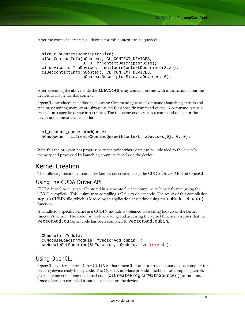After the context is created, all devices for this context can be queried:

```
size_t nContextDescriptorSize; 
clGetContextInfo(hContext, CL_CONTEXT_DEVICES, 
                 0, 0, &nContextDescriptorSize);
cl_device_id * aDevices = malloc(nContextDescriptorSize); 
clGetContextInfo(hContext, CL_CONTEXT_DEVICES, 
                  nContextDescriptorSize, aDevices, 0);
```
After executing the above code the aDevices array contains entries with information about the devices available for this context.

OpenCL introduces an additional concept: Command Queues. Commands launching kernels and reading or writing memory are always issued for a specific command queue. A command queue is created on a specific device in a context. The following code creates a command queue for the device and context created so far:

```
cl command queue hCmdQueue;
hCmdQueue = clCreateCommandQueue(hContext, aDevices[0], 0, 0);
```
With this the program has progressed to the point where data can be uploaded to the device's memory and processed by launching compute kernels on the device.

## Kernel Creation

The following sections discuss how kernels are created using the CUDA Driver API and OpenCL.

### Using the CUDA Driver API:

CUDA kernel code is typically stored in a separate file and compiled to binary format (using the NVCC compiler). This is similar to compiling a C file to object code. The result of this compilation step is a CUBIN file, which is loaded by an application at runtime using the cuModuleLoad() function.

A handle to a specific kernel in a CUBIN module is obtained via a string lookup of the kernel function's name. The code for module loading and accessing the kernel function assumes that the vectorAdd.cu kernel code has been compiled to vectorAdd.cubin:

```
CUmodule hModule; 
cuModuleLoad(&hModule, "vectorAdd.cubin"); 
cuModuleGetFunction(&hFunction, hModule, "vectorAdd");
```
## Using OpenCL:

OpenCL is different from C for CUDA in that OpenCL does not provide a standalone compiler for creating device ready binary code. The OpenCL interface provides methods for compiling kernels given a string containing the kernel code (clCreateProgramWithSource()) at runtime. Once a kernel is compiled it can be launched on the device.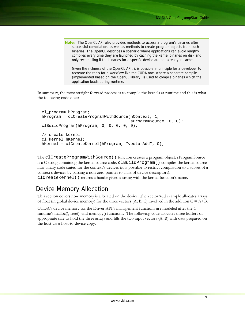**Note:** The OpenCL API also provides methods to access a program's binaries after successful compilation, as well as methods to create program objects from such binaries. The OpenCL describes a scenario where applications can avoid lengthy compiles every time they are launched by caching the kernel binaries on disk and only recompiling if the binaries for a specific device are not already in cache.

Given the richness of the OpenCL API, it is possible in principle for a developer to recreate the tools for a workflow like the CUDA one, where a separate compile (implemented based on the OpenCL library) is used to compile binaries which the application loads during runtime.

In summary, the most straight forward process is to compile the kernels at runtime and this is what the following code does:

```
cl_program hProgram; 
hProgram = clCreateProgramWithSource(hContext, 1, 
                                       sProgramSource, 0, 0); 
clBuildProgram(hProgram, 0, 0, 0, 0, 0); 
// create kernel 
cl kernel hKernel;
hKernel = clCreateKernel(hProgram, "vectorAdd", 0);
```
The clCreateProgramWithSource() function creates a program object. sProgramSource is a C string containing the kernel source code. clBuildProgram() compiles the kernel source into binary code suited for the context's devices (it is possible to restrict compilation to a subset of a context's devices by passing a non-zero pointer to a list of device descriptors).

clCreateKernel() returns a handle given a string with the kernel function's name.

## Device Memory Allocation

This section covers how memory is allocated on the device. The vectorAdd example allocates arrays of float (in global device memory) for the three vectors  $(A, B, C)$  involved in the addition  $C = A+B$ .

CUDA's device memory for the Driver API's management functions are modeled after the C runtime's malloc(), free(), and memcpy() functions. The following code allocates three buffers of appropriate size to hold the three arrays and fills the two input vectors (A, B) with data prepared on the host via a host-to-device copy.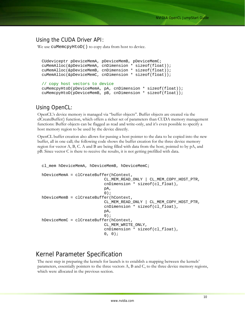### Using the CUDA Driver API:

We use cuMemcpyHtoD() to copy data from host to device.

```
CUdeviceptr pDeviceMemA, pDeviceMemB, pDeviceMemC; 
cuMemAlloc(&pDeviceMemA, cnDimension * sizeof(float)); 
cuMemAlloc(&pDeviceMemB, cnDimension * sizeof(float)); 
cuMemAlloc(&pDeviceMemC, cnDimension * sizeof(float)); 
// copy host vectors to device 
cuMemcpyHtoD(pDeviceMemA, pA, cnDimension * sizeof(float));
```
## cuMemcpyHtoD(pDeviceMemB, pB, cnDimension \* sizeof(float));

## Using OpenCL:

OpenCL's device memory is managed via "buffer objects". Buffer objects are created via the clCreateBuffer() function, which offers a richer set of parameters than CUDA memory management functions: Buffer objects can be flagged as read and write-only, and it's even possible to specify a host memory region to be used by the device directly.

OpenCL buffer creation also allows for passing a host pointer to the data to be copied into the new buffer, all in one call; the following code shows the buffer creation for the three device memory region for vector A, B, C. A and B are being filled with data from the host, pointed to by pA, and pB. Since vector C is there to receive the results, it is not getting prefilled with data.

```
cl mem hDeviceMemA, hDeviceMemB, hDeviceMemC;
hDeviceMemA = clCreateBuffer(hContext, 
                          CL_MEM_READ_ONLY | CL_MEM_COPY_HOST_PTR, 
                          cnDimension * sizeof(cl_float), 
 pA, 
\begin{pmatrix} 0 \\ 0 \end{pmatrix};
hDeviceMemB = clCreateBuffer(hContext, 
                          CL_MEM_READ_ONLY | CL_MEM_COPY_HOST_PTR, 
                          cnDimension * sizeof(cl_float), 
 pA, 
\begin{pmatrix} 0 \\ 0 \end{pmatrix};
hDeviceMemC = clCreateBuffer(hContext, 
                          CL_MEM_WRITE_ONLY, 
                          cnDimension * sizeof(cl_float), 
                         0, 0);
```
## Kernel Parameter Specification

The next step in preparing the kernels for launch is to establish a mapping between the kernels' parameters, essentially pointers to the three vectors A, B and C, to the three device memory regions, which were allocated in the previous section.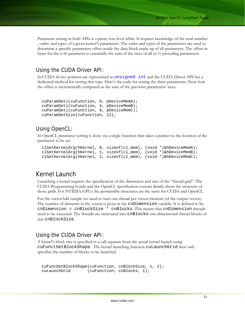Parameter setting in both APIs is a pretty low-level affair. It requires knowledge of the total number , order, and types of a given kernel's parameters. The order and types of the parameters are used to determine a specific parameters offset inside the data block made up of all parameters. The offset in bytes for the n-th parameter is essentially the sum of the sizes of all (n-1) preceding parameters.

## Using the CUDA Driver API:

In CUDA device pointers are represented as unsigned int and the CUDA Driver API has a dedicated method for setting that type. Here's the code for setting the three parameters. Note how the offset is incrementally computed as the sum of the previous parameters' sizes.

```
cuParamSeti(cuFunction, 0, pDeviceMemA); 
cuParamSeti(cuFunction, 4, pDeviceMemB); 
cuParamSeti(cuFunction, 8, pDeviceMemC); 
cuParamSetSize(cuFunction, 12);
```
## Using OpenCL:

In OpenCL parameter setting is done via a single function that takes a pointer to the location of the parameter to be set.

```
clSetKernelArg(hKernel, 0, sizeof(cl_mem), (void *)&hDeviceMemA); 
clSetKernelArg(hKernel, 1, sizeof(cl_mem), (void *)&hDeviceMemB); 
clSetKernelArg(hKernel, 2, sizeof(cl_mem), (void *)&hDeviceMemC);
```
## Kernel Launch

Launching a kernel requires the specification of the dimension and size of the "thread-grid". The CUDA Programming Guide and the OpenCL specification contain details about the structure of those grids. For NVIDIA GPUs the permissible structures are the same for CUDA and OpenCL.

For the vectorAdd sample we need to start one thread per vector-element (of the output vector). The number of elements in the vector is given in the cnDimension variable. It is defined to be cnDimension = cnBlockSize \* cnBlocks. This means that cnDimension threads need to be executed. The threads are structured into cnBlocks one-dimensional thread blocks of size cnBlockSize.

### Using the CUDA Driver API:

A kernel's block size is specified in a call separate from the actual kernel launch using cuFunctSetBlockShape. The kernel launching function cuLaunchGrid then only specifies the number of blocks to be launched.

```
cuFuncSetBlockShape(cuFunction, cnBlockSize, 1, 1); 
cuLaunchGrid (cuFunction, cnBlocks, 1);
```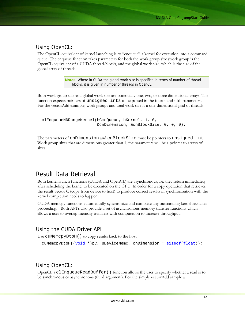## Using OpenCL:

The OpenCL equivalent of kernel launching is to "enqueue" a kernel for execution into a command queue. The enqueue function takes parameters for both the work group size (work group is the OpenCL equivalent of a CUDA thread-block), and the global work size, which is the size of the global array of threads.

> **Note:** Where in CUDA the global work size is specified in terms of number of thread blocks, it is given in number of threads in OpenCL.

Both work group size and global work size are potentially one, two, or three dimensional arrays. The function expects pointers of unsigned ints to be passed in the fourth and fifth parameters. For the vectorAdd example, work groups and total work size is a one-dimensional grid of threads.

```
clEnqueueNDRangeKernel(hCmdQueue, hKernel, 1, 0, 
                         &cnDimension, &cnBlockSize, 0, 0, 0);
```
The parameters of cnDimension and cnBlockSize must be pointers to unsigned int. Work group sizes that are dimensions greater than 1, the parameters will be a pointer to arrays of sizes.

## Result Data Retrieval

Both kernel launch functions (CUDA and OpenCL) are asynchronous, i.e. they return immediately after scheduling the kernel to be executed on the GPU. In order for a copy operation that retrieves the result vector C (copy from device to host) to produce correct results in synchronization with the kernel completion needs to happen.

CUDA memcpy functions automatically synchronize and complete any outstanding kernel launches proceeding. Both API's also provide a set of asynchronous memory transfer functions which allows a user to overlap memory transfers with computation to increase throughput.

## Using the CUDA Driver API:

Use cuMemcpyDtoH() to copy results back to the host.

```
cuMemcpyDtoH((void *)pC, pDeviceMemC, cnDimension * sizeof(float));
```
## Using OpenCL:

OpenCL's clEnqueueReadBuffer() function allows the user to specify whether a read is to be synchronous or asynchronous (third argument). For the simple vectorAdd sample a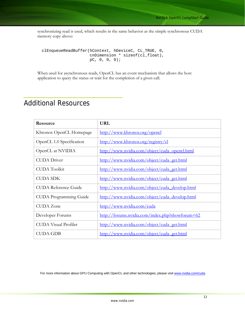synchronizing read is used, which results in the same behavior as the simple synchronous CUDA memory copy above:

```
clEnqueueReadBuffer(hContext, hDeviceC, CL_TRUE, 0, 
                      cnDimension * sizeof(cl_float), 
                      pC, 0, 0, 0);
```
When used for asynchronous reads, OpenCL has an event mechanism that allows the host application to query the status or wait for the completion of a given call.

## Additional Resources

| Resource                      | <b>URL</b>                                      |
|-------------------------------|-------------------------------------------------|
| Khronos OpenCL Homepage       | http://www.khronos.org/opencl                   |
| OpenCL 1.0 Specification      | http://www.khronos.org/registry/cl              |
| OpenCL at NVIDIA              | http://www.nvidia.com/object/cuda_opencl.html   |
| <b>CUDA</b> Driver            | http://www.nvidia.com/object/cuda_get.html      |
| <b>CUDA</b> Toolkit           | http://www.nvidia.com/object/cuda_get.html      |
| <b>CUDA SDK</b>               | http://www.nvidia.com/object/cuda_get.html      |
| <b>CUDA Reference Guide</b>   | http://www.nvidia.com/object/cuda_develop.html  |
| <b>CUDA</b> Programming Guide | http://www.nvidia.com/object/cuda_develop.html  |
| <b>CUDA</b> Zone              | http://www.nvidia.com/cuda                      |
| Developer Forums              | http://forums.nvidia.com/index.php?showforum=62 |
| <b>CUDA Visual Profiler</b>   | http://www.nvidia.com/object/cuda_get.html      |
| <b>CUDA GDB</b>               | http://www.nvidia.com/object/cuda_get.html      |

For more information about GPU Computing with OpenCL and other technologies, please visit [www.nvidia.com/cuda.](http://www.nvidia.com/cuda)